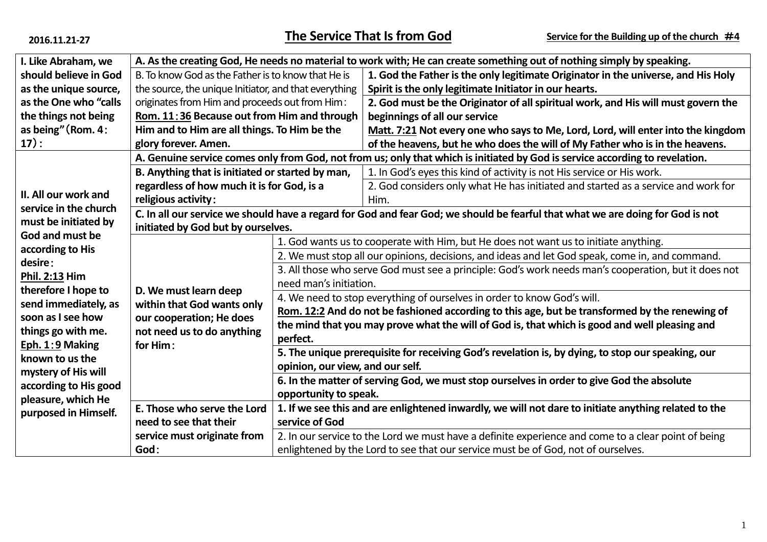| I. Like Abraham, we                                                   | A. As the creating God, He needs no material to work with; He can create something out of nothing simply by speaking.          |                                                                                                      |                                                                                                                              |  |  |  |
|-----------------------------------------------------------------------|--------------------------------------------------------------------------------------------------------------------------------|------------------------------------------------------------------------------------------------------|------------------------------------------------------------------------------------------------------------------------------|--|--|--|
| should believe in God                                                 | B. To know God as the Father is to know that He is                                                                             |                                                                                                      | 1. God the Father is the only legitimate Originator in the universe, and His Holy                                            |  |  |  |
| as the unique source,                                                 | the source, the unique Initiator, and that everything                                                                          |                                                                                                      | Spirit is the only legitimate Initiator in our hearts.                                                                       |  |  |  |
| as the One who "calls                                                 | originates from Him and proceeds out from Him:                                                                                 |                                                                                                      | 2. God must be the Originator of all spiritual work, and His will must govern the                                            |  |  |  |
| the things not being                                                  | Rom. 11:36 Because out from Him and through                                                                                    |                                                                                                      | beginnings of all our service                                                                                                |  |  |  |
| as being" (Rom. 4:                                                    | Him and to Him are all things. To Him be the                                                                                   |                                                                                                      | Matt. 7:21 Not every one who says to Me, Lord, Lord, will enter into the kingdom                                             |  |  |  |
| 17):                                                                  | glory forever. Amen.                                                                                                           |                                                                                                      | of the heavens, but he who does the will of My Father who is in the heavens.                                                 |  |  |  |
|                                                                       |                                                                                                                                |                                                                                                      | A. Genuine service comes only from God, not from us; only that which is initiated by God is service according to revelation. |  |  |  |
| II. All our work and<br>service in the church<br>must be initiated by | B. Anything that is initiated or started by man,                                                                               |                                                                                                      | 1. In God's eyes this kind of activity is not His service or His work.                                                       |  |  |  |
|                                                                       | regardless of how much it is for God, is a                                                                                     |                                                                                                      | 2. God considers only what He has initiated and started as a service and work for                                            |  |  |  |
|                                                                       | religious activity:                                                                                                            |                                                                                                      | Him.                                                                                                                         |  |  |  |
|                                                                       | C. In all our service we should have a regard for God and fear God; we should be fearful that what we are doing for God is not |                                                                                                      |                                                                                                                              |  |  |  |
|                                                                       | initiated by God but by ourselves.                                                                                             |                                                                                                      |                                                                                                                              |  |  |  |
| God and must be                                                       | D. We must learn deep<br>within that God wants only<br>our cooperation; He does<br>not need us to do anything<br>for Him:      | 1. God wants us to cooperate with Him, but He does not want us to initiate anything.                 |                                                                                                                              |  |  |  |
| according to His                                                      |                                                                                                                                | 2. We must stop all our opinions, decisions, and ideas and let God speak, come in, and command.      |                                                                                                                              |  |  |  |
| desire:                                                               |                                                                                                                                | 3. All those who serve God must see a principle: God's work needs man's cooperation, but it does not |                                                                                                                              |  |  |  |
| Phil. 2:13 Him                                                        |                                                                                                                                | need man's initiation.                                                                               |                                                                                                                              |  |  |  |
| therefore I hope to<br>send immediately, as                           |                                                                                                                                | 4. We need to stop everything of ourselves in order to know God's will.                              |                                                                                                                              |  |  |  |
|                                                                       |                                                                                                                                | Rom. 12:2 And do not be fashioned according to this age, but be transformed by the renewing of       |                                                                                                                              |  |  |  |
| soon as I see how                                                     |                                                                                                                                | the mind that you may prove what the will of God is, that which is good and well pleasing and        |                                                                                                                              |  |  |  |
| things go with me.                                                    |                                                                                                                                | perfect.                                                                                             |                                                                                                                              |  |  |  |
| Eph. 1:9 Making                                                       |                                                                                                                                | 5. The unique prerequisite for receiving God's revelation is, by dying, to stop our speaking, our    |                                                                                                                              |  |  |  |
| known to us the<br>mystery of His will                                |                                                                                                                                | opinion, our view, and our self.                                                                     |                                                                                                                              |  |  |  |
|                                                                       |                                                                                                                                | 6. In the matter of serving God, we must stop ourselves in order to give God the absolute            |                                                                                                                              |  |  |  |
| according to His good<br>pleasure, which He                           |                                                                                                                                | opportunity to speak.                                                                                |                                                                                                                              |  |  |  |
| purposed in Himself.                                                  | E. Those who serve the Lord                                                                                                    | 1. If we see this and are enlightened inwardly, we will not dare to initiate anything related to the |                                                                                                                              |  |  |  |
|                                                                       | need to see that their                                                                                                         | service of God                                                                                       |                                                                                                                              |  |  |  |
|                                                                       | service must originate from                                                                                                    | 2. In our service to the Lord we must have a definite experience and come to a clear point of being  |                                                                                                                              |  |  |  |
|                                                                       | God:                                                                                                                           | enlightened by the Lord to see that our service must be of God, not of ourselves.                    |                                                                                                                              |  |  |  |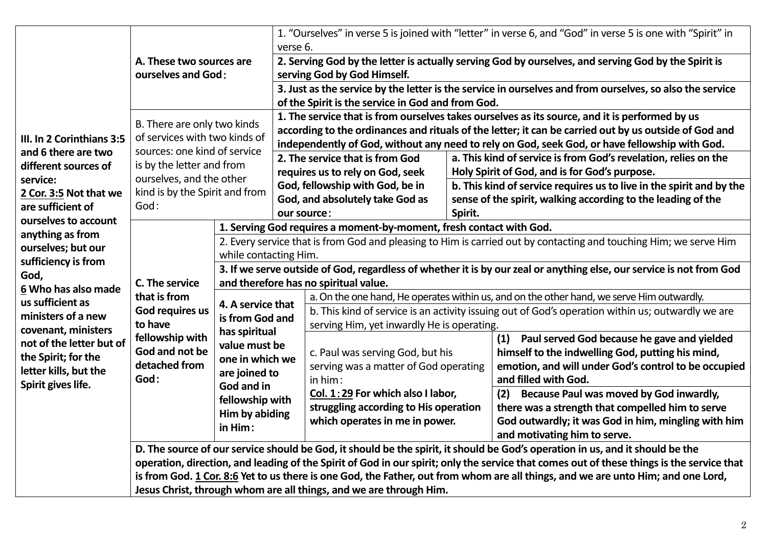| III. In 2 Corinthians 3:5<br>and 6 there are two<br>different sources of<br>service:<br>2 Cor. 3:5 Not that we<br>are sufficient of<br>ourselves to account<br>anything as from<br>ourselves; but our<br>sufficiency is from<br>God,<br>6 Who has also made<br>us sufficient as<br>ministers of a new<br>covenant, ministers<br>not of the letter but of<br>the Spirit; for the<br>letter kills, but the<br>Spirit gives life. | A. These two sources are<br>ourselves and God:                                                                                                                                                                                                                                                                                                      |                                                                                                                                                                                                   | 1. "Ourselves" in verse 5 is joined with "letter" in verse 6, and "God" in verse 5 is one with "Spirit" in<br>verse 6.<br>2. Serving God by the letter is actually serving God by ourselves, and serving God by the Spirit is<br>serving God by God Himself.<br>3. Just as the service by the letter is the service in ourselves and from ourselves, so also the service<br>of the Spirit is the service in God and from God. |                                                                                                                                                                                                                                                                                                                                                                                                                                                                                                                                                                                                                                                                                                                                                                                                                                                                                                                                                                                                                                                                                                                                                                                                                                                                                                                                        |                                                                                                                                                                                                                                                                                                                                                                                                                                                                                                                                                                                 |  |  |
|--------------------------------------------------------------------------------------------------------------------------------------------------------------------------------------------------------------------------------------------------------------------------------------------------------------------------------------------------------------------------------------------------------------------------------|-----------------------------------------------------------------------------------------------------------------------------------------------------------------------------------------------------------------------------------------------------------------------------------------------------------------------------------------------------|---------------------------------------------------------------------------------------------------------------------------------------------------------------------------------------------------|-------------------------------------------------------------------------------------------------------------------------------------------------------------------------------------------------------------------------------------------------------------------------------------------------------------------------------------------------------------------------------------------------------------------------------|----------------------------------------------------------------------------------------------------------------------------------------------------------------------------------------------------------------------------------------------------------------------------------------------------------------------------------------------------------------------------------------------------------------------------------------------------------------------------------------------------------------------------------------------------------------------------------------------------------------------------------------------------------------------------------------------------------------------------------------------------------------------------------------------------------------------------------------------------------------------------------------------------------------------------------------------------------------------------------------------------------------------------------------------------------------------------------------------------------------------------------------------------------------------------------------------------------------------------------------------------------------------------------------------------------------------------------------|---------------------------------------------------------------------------------------------------------------------------------------------------------------------------------------------------------------------------------------------------------------------------------------------------------------------------------------------------------------------------------------------------------------------------------------------------------------------------------------------------------------------------------------------------------------------------------|--|--|
|                                                                                                                                                                                                                                                                                                                                                                                                                                | B. There are only two kinds<br>of services with two kinds of<br>sources: one kind of service<br>is by the letter and from<br>ourselves, and the other<br>kind is by the Spirit and from<br>God:                                                                                                                                                     |                                                                                                                                                                                                   | 2. The service that is from God<br>requires us to rely on God, seek<br>God, fellowship with God, be in<br>God, and absolutely take God as<br>our source:                                                                                                                                                                                                                                                                      |                                                                                                                                                                                                                                                                                                                                                                                                                                                                                                                                                                                                                                                                                                                                                                                                                                                                                                                                                                                                                                                                                                                                                                                                                                                                                                                                        | 1. The service that is from ourselves takes ourselves as its source, and it is performed by us<br>according to the ordinances and rituals of the letter; it can be carried out by us outside of God and<br>independently of God, without any need to rely on God, seek God, or have fellowship with God.<br>a. This kind of service is from God's revelation, relies on the<br>Holy Spirit of God, and is for God's purpose.<br>b. This kind of service requires us to live in the spirit and by the<br>sense of the spirit, walking according to the leading of the<br>Spirit. |  |  |
|                                                                                                                                                                                                                                                                                                                                                                                                                                | C. The service<br>that is from<br>God requires us<br>to have<br>fellowship with<br>God and not be<br>detached from<br>God:                                                                                                                                                                                                                          | while contacting Him.<br>4. A service that<br>is from God and<br>has spiritual<br>value must be<br>one in which we<br>are joined to<br>God and in<br>fellowship with<br>Him by abiding<br>in Him: |                                                                                                                                                                                                                                                                                                                                                                                                                               | 1. Serving God requires a moment-by-moment, fresh contact with God.<br>2. Every service that is from God and pleasing to Him is carried out by contacting and touching Him; we serve Him<br>3. If we serve outside of God, regardless of whether it is by our zeal or anything else, our service is not from God<br>and therefore has no spiritual value.<br>a. On the one hand, He operates within us, and on the other hand, we serve Him outwardly.<br>b. This kind of service is an activity issuing out of God's operation within us; outwardly we are<br>serving Him, yet inwardly He is operating.<br>(1) Paul served God because he gave and yielded<br>himself to the indwelling God, putting his mind,<br>c. Paul was serving God, but his<br>emotion, and will under God's control to be occupied<br>serving was a matter of God operating<br>and filled with God.<br>in him:<br>Col. 1:29 For which also I labor,<br>Because Paul was moved by God inwardly,<br>(2)<br>struggling according to His operation<br>there was a strength that compelled him to serve<br>which operates in me in power.<br>God outwardly; it was God in him, mingling with him<br>and motivating him to serve.<br>D. The source of our service should be God, it should be the spirit, it should be God's operation in us, and it should be the |                                                                                                                                                                                                                                                                                                                                                                                                                                                                                                                                                                                 |  |  |
|                                                                                                                                                                                                                                                                                                                                                                                                                                | operation, direction, and leading of the Spirit of God in our spirit; only the service that comes out of these things is the service that<br>is from God. 1 Cor. 8:6 Yet to us there is one God, the Father, out from whom are all things, and we are unto Him; and one Lord,<br>Jesus Christ, through whom are all things, and we are through Him. |                                                                                                                                                                                                   |                                                                                                                                                                                                                                                                                                                                                                                                                               |                                                                                                                                                                                                                                                                                                                                                                                                                                                                                                                                                                                                                                                                                                                                                                                                                                                                                                                                                                                                                                                                                                                                                                                                                                                                                                                                        |                                                                                                                                                                                                                                                                                                                                                                                                                                                                                                                                                                                 |  |  |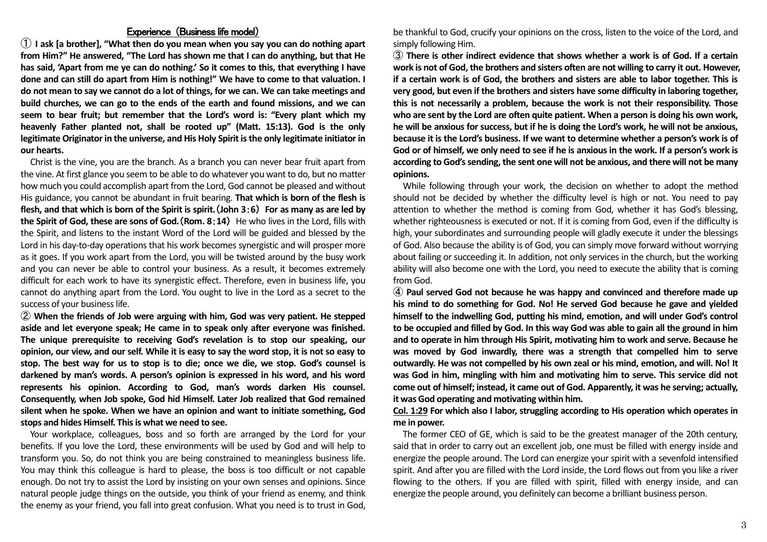## Experience (Business life model)

① **I ask [a brother], "What then do you mean when you say you can do nothing apart from Him?" He answered, "The Lord has shown me that I can do anything, but that He**  has said, 'Apart from me ye can do nothing.' So it comes to this, that everything I have **done and can still do apart from Him is nothing!" We have to come to that valuation. I do not mean to say we cannot do a lot of things, for we can. We can take meetings and build churches, we can go to the ends of the earth and found missions, and we can seem to bear fruit; but remember that the Lord's word is: "Every plant which my heavenly Father planted not, shall be rooted up" (Matt. 15:13). God is the only legitimate Originator in the universe, and His Holy Spirit is the only legitimate initiator in our hearts.**

Christ is the vine, you are the branch. As a branch you can never bear fruit apart from the vine. At first glance you seem to be able to do whatever you want to do, but no matter how much you could accomplish apart from the Lord, God cannot be pleased and without His guidance, you cannot be abundant in fruit bearing. **That which is born of the flesh is flesh, and that which is born of the Spirit is spirit.**(**John 3**:**6**) **For as many as are led by the Spirit of God, these are sons of God.**(**Rom. 8**:**14**) He who lives in the Lord, fills with the Spirit, and listens to the instant Word of the Lord will be guided and blessed by the Lord in his day-to-day operations that his work becomes synergistic and will prosper more as it goes. If you work apart from the Lord, you will be twisted around by the busy work and you can never be able to control your business. As a result, it becomes extremely difficult for each work to have its synergistic effect. Therefore, even in business life, you cannot do anything apart from the Lord. You ought to live in the Lord as a secret to the success of your business life.

② **When the friends of Job were arguing with him, God was very patient. He stepped aside and let everyone speak; He came in to speak only after everyone was finished. The unique prerequisite to receiving God's revelation is to stop our speaking, our opinion, our view, and our self. While it is easy to say the word stop, it is not so easy to stop. The best way for us to stop is to die; once we die, we stop. God's counsel is darkened by man's words. A person's opinion is expressed in his word, and his word represents his opinion. According to God, man's words darken His counsel. Consequently, when Job spoke, God hid Himself. Later Job realized that God remained silent when he spoke. When we have an opinion and want to initiate something, God stops and hides Himself. This is what we need to see.**

Your workplace, colleagues, boss and so forth are arranged by the Lord for your benefits. If you love the Lord, these environments will be used by God and will help to transform you. So, do not think you are being constrained to meaningless business life. You may think this colleague is hard to please, the boss is too difficult or not capable enough. Do not try to assist the Lord by insisting on your own senses and opinions. Since natural people judge things on the outside, you think of your friend as enemy, and think the enemy as your friend, you fall into great confusion. What you need is to trust in God,

be thankful to God, crucify your opinions on the cross, listen to the voice of the Lord, and simply following Him.

③ **There is other indirect evidence that shows whether a work is of God. If a certain work is not of God, the brothers and sisters often are not willing to carry it out. However, if a certain work is of God, the brothers and sisters are able to labor together. This is very good, but even if the brothers and sisters have some difficulty in laboring together, this is not necessarily a problem, because the work is not their responsibility. Those who are sent by the Lord are often quite patient. When a person is doing his own work, he will be anxious for success, but if he is doing the Lord's work, he will not be anxious, because it is the Lord's business. If we want to determine whether a person's work is of God or of himself, we only need to see if he is anxious in the work. If a person's work is according to God's sending, the sent one will not be anxious, and there will not be many opinions.**

While following through your work, the decision on whether to adopt the method should not be decided by whether the difficulty level is high or not. You need to pay attention to whether the method is coming from God, whether it has God's blessing, whether righteousness is executed or not. If it is coming from God, even if the difficulty is high, your subordinates and surrounding people will gladly execute it under the blessings of God. Also because the ability is of God, you can simply move forward without worrying about failing or succeeding it. In addition, not only services in the church, but the working ability will also become one with the Lord, you need to execute the ability that is coming from God.

④ **Paul served God not because he was happy and convinced and therefore made up his mind to do something for God. No! He served God because he gave and yielded himself to the indwelling God, putting his mind, emotion, and will under God's control to be occupied and filled by God. In this way God was able to gain all the ground in him and to operate in him through His Spirit, motivating him to work and serve. Because he was moved by God inwardly, there was a strength that compelled him to serve outwardly. He was not compelled by his own zeal or his mind, emotion, and will. No! It was God in him, mingling with him and motivating him to serve. This service did not come out of himself; instead, it came out of God. Apparently, it was he serving; actually, it was God operating and motivating within him.**

## **Col. 1:29 For which also I labor, struggling according to His operation which operates in me in power.**

The former CEO of GE, which is said to be the greatest manager of the 20th century, said that in order to carry out an excellent job, one must be filled with energy inside and energize the people around. The Lord can energize your spirit with a sevenfold intensified spirit. And after you are filled with the Lord inside, the Lord flows out from you like a river flowing to the others. If you are filled with spirit, filled with energy inside, and can energize the people around, you definitely can become a brilliant business person.